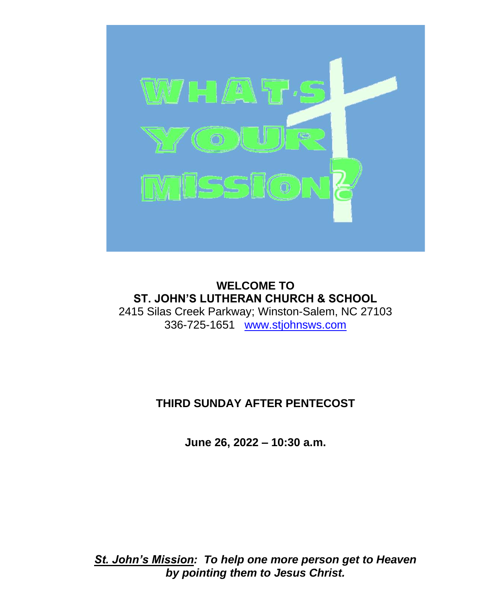

**WELCOME TO ST. JOHN'S LUTHERAN CHURCH & SCHOOL** 2415 Silas Creek Parkway; Winston-Salem, NC 27103 336-725-1651 [www.stjohnsws.com](http://www.stjohnsws.com/)

# **THIRD SUNDAY AFTER PENTECOST**

**June 26, 2022 – 10:30 a.m.**

*St. John's Mission: To help one more person get to Heaven by pointing them to Jesus Christ.*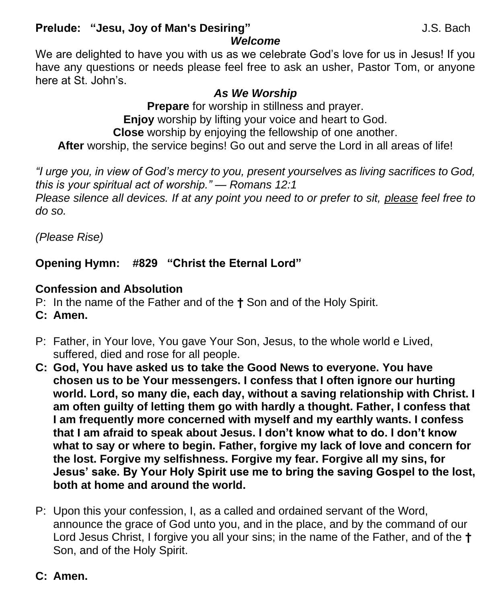## **Prelude: "Jesu, Joy of Man's Desiring"** J.S. Bach

*Welcome*

We are delighted to have you with us as we celebrate God's love for us in Jesus! If you have any questions or needs please feel free to ask an usher, Pastor Tom, or anyone here at St. John's.

## *As We Worship*

**Prepare** for worship in stillness and prayer. **Enjoy** worship by lifting your voice and heart to God. **Close** worship by enjoying the fellowship of one another. **After** worship, the service begins! Go out and serve the Lord in all areas of life!

*"I urge you, in view of God's mercy to you, present yourselves as living sacrifices to God, this is your spiritual act of worship." — Romans 12:1 Please silence all devices. If at any point you need to or prefer to sit, please feel free to do so.*

*(Please Rise)*

# **Opening Hymn: #829 "Christ the Eternal Lord"**

# **Confession and Absolution**

- P: In the name of the Father and of the **†** Son and of the Holy Spirit.
- **C: Amen.**
- P: Father, in Your love, You gave Your Son, Jesus, to the whole world e Lived, suffered, died and rose for all people.
- **C: God, You have asked us to take the Good News to everyone. You have chosen us to be Your messengers. I confess that I often ignore our hurting world. Lord, so many die, each day, without a saving relationship with Christ. I am often guilty of letting them go with hardly a thought. Father, I confess that I am frequently more concerned with myself and my earthly wants. I confess that I am afraid to speak about Jesus. I don't know what to do. I don't know what to say or where to begin. Father, forgive my lack of love and concern for the lost. Forgive my selfishness. Forgive my fear. Forgive all my sins, for Jesus' sake. By Your Holy Spirit use me to bring the saving Gospel to the lost, both at home and around the world.**
- P: Upon this your confession, I, as a called and ordained servant of the Word, announce the grace of God unto you, and in the place, and by the command of our Lord Jesus Christ, I forgive you all your sins; in the name of the Father, and of the **†** Son, and of the Holy Spirit.

# **C: Amen.**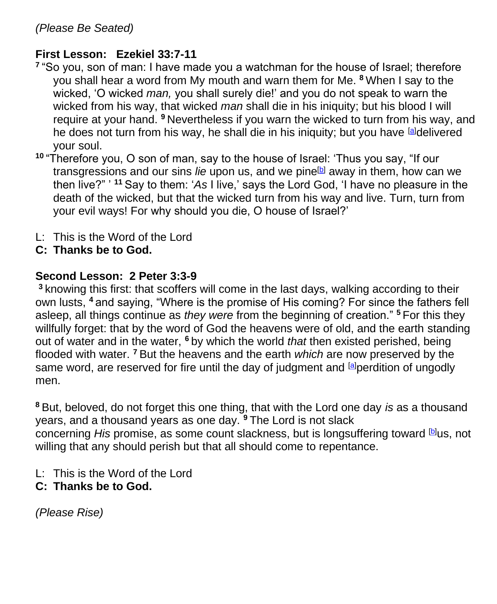## **First Lesson: Ezekiel 33:7-11**

- **7** "So you, son of man: I have made you a watchman for the house of Israel; therefore you shall hear a word from My mouth and warn them for Me. **<sup>8</sup>** When I say to the wicked, 'O wicked *man,* you shall surely die!' and you do not speak to warn the wicked from his way, that wicked *man* shall die in his iniquity; but his blood I will require at your hand. **<sup>9</sup>** Nevertheless if you warn the wicked to turn from his way, and he does not turn from his way, he shall die in his iniquity; but you have [\[a\]](https://www.biblegateway.com/passage/?search=Ezekiel+33%3A7-11&version=NKJV#fen-NKJV-21290a)delivered your soul.
- **<sup>10</sup>** "Therefore you, O son of man, say to the house of Israel: 'Thus you say, "If our transgressions and our sins *lie* upon us, and we pine<sup>[\[b\]](https://www.biblegateway.com/passage/?search=Ezekiel+33%3A7-11&version=NKJV#fen-NKJV-21291b)</sup> away in them, how can we then live?" ' **<sup>11</sup>** Say to them: '*As* I live,' says the Lord God, 'I have no pleasure in the death of the wicked, but that the wicked turn from his way and live. Turn, turn from your evil ways! For why should you die, O house of Israel?'
- L: This is the Word of the Lord
- **C: Thanks be to God.**

## **Second Lesson: 2 Peter 3:3-9**

**<sup>3</sup>** knowing this first: that scoffers will come in the last days, walking according to their own lusts, **<sup>4</sup>** and saying, "Where is the promise of His coming? For since the fathers fell asleep, all things continue as *they were* from the beginning of creation." **<sup>5</sup>** For this they willfully forget: that by the word of God the heavens were of old, and the earth standing out of water and in the water, **<sup>6</sup>** by which the world *that* then existed perished, being flooded with water. **<sup>7</sup>** But the heavens and the earth *which* are now preserved by the same word, are reserved for fire until the day of judgment and **a** perdition of ungodly men.

**<sup>8</sup>** But, beloved, do not forget this one thing, that with the Lord one day *is* as a thousand years, and a thousand years as one day. **<sup>9</sup>** The Lord is not slack concerning *His* promise, as some count slackness, but is longsuffering toward [\[b\]](https://www.biblegateway.com/passage/?search=2+peter+3%3A3-9&version=NKJV#fen-NKJV-30532b)us, not willing that any should perish but that all should come to repentance.

L: This is the Word of the Lord

# **C: Thanks be to God.**

*(Please Rise)*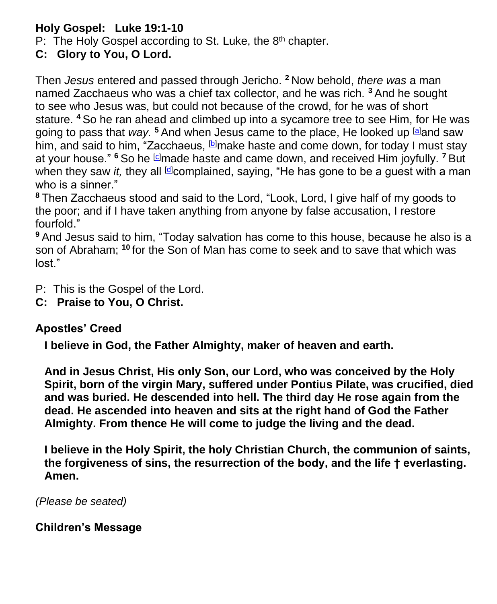## **Holy Gospel: Luke 19:1-10**

P: The Holy Gospel according to St. Luke, the 8<sup>th</sup> chapter.

**C: Glory to You, O Lord.**

Then *Jesus* entered and passed through Jericho. **<sup>2</sup>** Now behold, *there was* a man named Zacchaeus who was a chief tax collector, and he was rich. **<sup>3</sup>** And he sought to see who Jesus was, but could not because of the crowd, for he was of short stature. **<sup>4</sup>** So he ran ahead and climbed up into a sycamore tree to see Him, for He was going to pass that *way.* **<sup>5</sup>** And when Jesus came to the place, He looked up [\[a\]](https://www.biblegateway.com/passage/?search=Luke+19%3A1-10&version=NKJV#fen-NKJV-25737a)and saw him, and said to him, "Zacchaeus, **D**make haste and come down, for today I must stay at your house." <sup>6</sup> So he **c** made haste and came down, and received Him joyfully. <sup>7</sup> But when they saw *it*, they all **d**complained, saying, "He has gone to be a guest with a man who is a sinner."

**<sup>8</sup>** Then Zacchaeus stood and said to the Lord, "Look, Lord, I give half of my goods to the poor; and if I have taken anything from anyone by false accusation, I restore fourfold."

**<sup>9</sup>** And Jesus said to him, "Today salvation has come to this house, because he also is a son of Abraham; **<sup>10</sup>** for the Son of Man has come to seek and to save that which was lost."

- P: This is the Gospel of the Lord.
- **C: Praise to You, O Christ.**

### **Apostles' Creed**

**I believe in God, the Father Almighty, maker of heaven and earth.**

**And in Jesus Christ, His only Son, our Lord, who was conceived by the Holy Spirit, born of the virgin Mary, suffered under Pontius Pilate, was crucified, died and was buried. He descended into hell. The third day He rose again from the dead. He ascended into heaven and sits at the right hand of God the Father Almighty. From thence He will come to judge the living and the dead.**

**I believe in the Holy Spirit, the holy Christian Church, the communion of saints, the forgiveness of sins, the resurrection of the body, and the life † everlasting. Amen.**

*(Please be seated)*

### **Children's Message**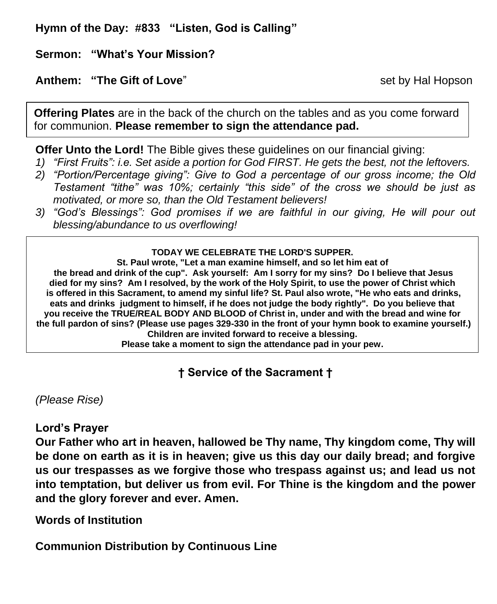**Hymn of the Day: #833 "Listen, God is Calling"**

**Sermon: "What's Your Mission?**

#### **Anthem: "The Gift of Love"** set by Hal Hopson

**Offering Plates** are in the back of the church on the tables and as you come forward for communion. **Please remember to sign the attendance pad.**

**Offer Unto the Lord!** The Bible gives these guidelines on our financial giving:

- *1) "First Fruits": i.e. Set aside a portion for God FIRST. He gets the best, not the leftovers.*
- *2) "Portion/Percentage giving": Give to God a percentage of our gross income; the Old Testament "tithe" was 10%; certainly "this side" of the cross we should be just as motivated, or more so, than the Old Testament believers!*
- *3) "God's Blessings": God promises if we are faithful in our giving, He will pour out blessing/abundance to us overflowing!*

#### **TODAY WE CELEBRATE THE LORD'S SUPPER.**

**St. Paul wrote, "Let a man examine himself, and so let him eat of the bread and drink of the cup". Ask yourself: Am I sorry for my sins? Do I believe that Jesus died for my sins? Am I resolved, by the work of the Holy Spirit, to use the power of Christ which is offered in this Sacrament, to amend my sinful life? St. Paul also wrote, "He who eats and drinks, eats and drinks judgment to himself, if he does not judge the body rightly". Do you believe that you receive the TRUE/REAL BODY AND BLOOD of Christ in, under and with the bread and wine for the full pardon of sins? (Please use pages 329-330 in the front of your hymn book to examine yourself.) Children are invited forward to receive a blessing.**

**Please take a moment to sign the attendance pad in your pew.**

**† Service of the Sacrament †**

*(Please Rise)*

### **Lord's Prayer**

**Our Father who art in heaven, hallowed be Thy name, Thy kingdom come, Thy will be done on earth as it is in heaven; give us this day our daily bread; and forgive us our trespasses as we forgive those who trespass against us; and lead us not into temptation, but deliver us from evil. For Thine is the kingdom and the power and the glory forever and ever. Amen.**

**Words of Institution**

**Communion Distribution by Continuous Line**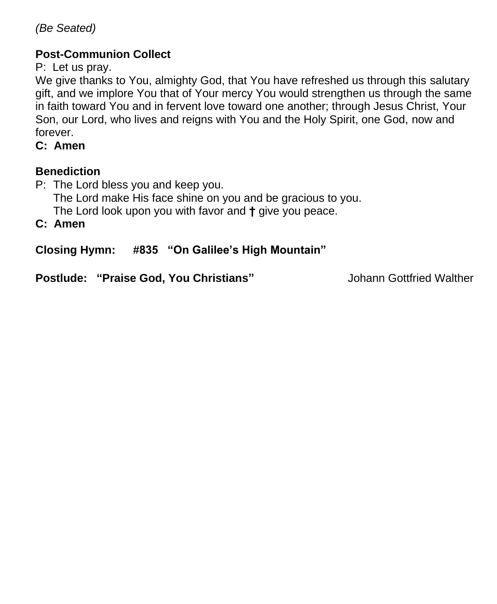*(Be Seated)*

### **Post-Communion Collect**

P: Let us pray.

We give thanks to You, almighty God, that You have refreshed us through this salutary gift, and we implore You that of Your mercy You would strengthen us through the same in faith toward You and in fervent love toward one another; through Jesus Christ, Your Son, our Lord, who lives and reigns with You and the Holy Spirit, one God, now and forever.

**C: Amen**

## **Benediction**

P: The Lord bless you and keep you. The Lord make His face shine on you and be gracious to you. The Lord look upon you with favor and **†** give you peace.

**C: Amen**

**Closing Hymn: #835 "On Galilee's High Mountain"** 

**Postlude: "Praise God, You Christians"** Johann Gottfried Walther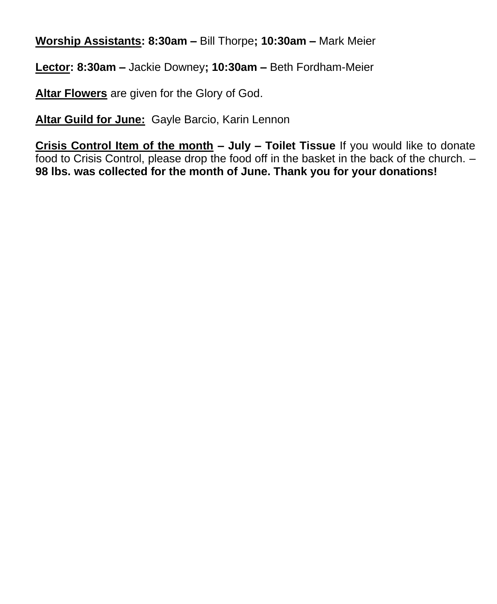**Worship Assistants: 8:30am –** Bill Thorpe**; 10:30am –** Mark Meier

**Lector: 8:30am –** Jackie Downey**; 10:30am –** Beth Fordham-Meier

**Altar Flowers** are given for the Glory of God.

**Altar Guild for June:** Gayle Barcio, Karin Lennon

**Crisis Control Item of the month – July – Toilet Tissue** If you would like to donate food to Crisis Control, please drop the food off in the basket in the back of the church. – **98 lbs. was collected for the month of June. Thank you for your donations!**